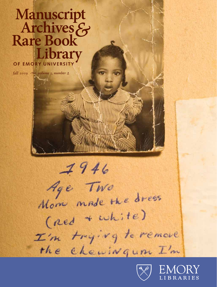# Manuscript Archives & **Rare Book** Library OF EMORY UNIVERSITY

fall 2009  $\sim$  volume 3, number 2

 $7946$ Age Two Mom made the dress (red + white) I'm trying to remove the chewingum I'm



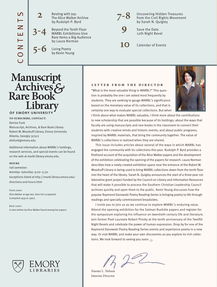Resting with Joy: The Alice Walker Archive by Rudolph P. Byrd

 Beyond the Tenth Floor MARBL Exhibitions Give Rare Items a Big Audience by Laura Norman

 Living Poetry by Kevin Young



 Uncovering Hidden Treasures from the Civil Rights Movement by Sarah N. Quigley

**9** Save the Date 12th Night Revel

**10** Calendar of Events

# $\sum$ <br>  $\sum$  5-6 Living Poe<br>  $\sum$  5-6 Living Poe<br>  $\sum$  5-6 Living Poe<br>  $\sum$  5-6 Living Poe<br>  $\sum$  by Kevin Y.<br>  $\sum$  TChIVES  $\sum$ <br>  $\sum$  TCHIVES  $\sum$ <br>  $\sum$  or  $\sum$  EMORY UNIVERSITY<br>
TO SUBSCRIBE, CONTACT:<br>
Denise FUM<br>
Manuscri

**2**

**3-4**

**5-6**

**To subscribe, contact:**

Denise Funk Manuscript, Archives, & Rare Book Library Robert W. Woodruff Library, Emory University Atlanta, Georgia 30322 dmfunk@emory.edu

Additional information about MARBL's holdings, research services, and special events can be found on the web at marbl.library.emory.edu.

### **hours**

fall semester: monday–saturday: 9:00–5:30 exceptions listed at http://marbl.library.emory.edu/ directions-and-hours.html

Front cover: Alice Walker at age two, from her scrapbook (compiled 1959 to 1961).

Back cover:



LIBRARIES

### **letter from the director**

"What is the most valuable thing in MARBL?" This question is probably the one I am asked most frequently by students. They are seeking to gauge MARBL's significance based on the monetary value of its collections, and that is certainly one way to evaluate special collections. But when



I think about what makes MARBL valuable, I think more about the contributions to new scholarship that are possible because of its holdings; about the ways that faculty are using manuscripts and rare books in the classroom to connect their students with creative minds and historic events; and about public programs, inspired by MARBL materials, that bring the community together. The value of MARBL's collections is realized when they are shared.

 This issue includes articles about several of the ways in which MARBL has engaged the community with its collections this year. Rudolph P. Byrd provides a firsthand account of the acquisition of the Alice Walker papers and the development of the exhibition celebrating the opening of the papers for research. Laura Norman describes how a newly created exhibition space near the entrance of the Robert W. Woodruff Library is being used to bring MARBL collections down from the tenth floor into the heart of the library. Sarah N. Quigley announces the start of a three-year collaborative grant project funded by the Council on Library and Information Resources that will make it possible to process the Southern Christian Leadership Council archives quickly and open them to the public. Kevin Young discusses how the popular Raymond Danowski Poetry Reading Series is bringing poetry to life through readings and specially commissioned broadsides.

 I invite you to join us as we continue to explore MARBL's enduring value. Attend the opening exhibition for the Salman Rushdie papers and register for the symposium exploring his influence on twentieth-century life and literature. Join former Poet Laureate Robert Pinsky at the tenth anniversary of the Twelfth Night Revels and celebrate the power of human expression. Drop by for one of the Raymond Danowski Poetry Reading Series events and experience poetry in a new way. Or visit MARBL and make your own discoveries as you explore its rich collections. We look forward to seeing you soon.  $\varepsilon$ 

 $22$ 

Naomi L. Nelson Interim Director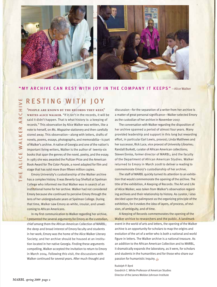



## "MY ARCHIVE CAN REST WITH JOY IN THE COMPANY IT KEEPS" —Alice Walker

# RESTING WITH JOY

**"People are known by the records they keep," WRITES ALICE WALKER.** "If it isn't in the records, it will be said it didn't happen. That is what history is: a keeping of records." This observation by Alice Walker was written, like a note to herself, on *Ms. Magazine* stationery and then carefully stored away. This observation—along with letters, drafts of novels, poems, essays, photographs, and memorabilia—is part of Walker's archive. A native of Georgia and one of the nation's important living writers, Walker is the author of twenty-six books that span the genres of the novel, poetry, and the essay. In 1983 she was awarded the Pulitzer Prize and the American Book Award for *The Color Purple*, a novel adapted for film and stage that has sold more than fifteen million copies.

 Emory University's custodianship of the Walker archive has a complex history. It was Beverly Guy Sheftall at Spelman College who informed me that Walker was in search of an institutional home for her archive. Walker had not considered Emory because she continued to perceive Emory through the lens of her undergraduate years at Spelman College. During that time, Walker saw Emory as white, insular, and unwelcoming to African Americans.

 In my first communication to Walker regarding her archive, I presented the several arguments for Emory as the custodian, chief among them the African American Collection of MARBL; the deep and broad interest of Emory faculty and students in her work; Emory was the home of the Alice Walker Literary Society; and her archive should be housed at an institution located in her native Georgia. Finding these arguments compelling, Walker accepted the invitation to return to Emory in March 2004. Following this visit, the discussions with Walker continued for several years. After much thought and

discussion—for the separation of a writer from her archive is a matter of great personal significance—Walker selected Emory as the custodian of her archive in November 2007.

 The conversation with Walker regarding the disposition of her archive spanned a period of almost four years. Many provided leadership and support in this long but rewarding effort, in particular Earl Lewis, provost; Linda Matthews and her successor, Rick Luce, vice provost of University Libraries; Randall Burkett, curator of African American collections; Steven Enniss, former director of MARBL; and the faculty of the Department of African American Studies. Walker returned to Emory in March 2008 to deliver a reading to commemorate Emory's custodianship of her archive.

 The staff of MARBL quickly turned its attention to an exhibition that would commemorate the opening of the archive. The title of the exhibition, A Keeping of Records: The Art and Life of Alice Walker, was taken from Walker's observation regarding archives and their relationship to history. As curator, I also decided upon the palimpsest as the organizing principle of the exhibition, for it evokes the idea of layers, of process, of revision, of ambiguity, and of time.

 A Keeping of Records commemorates the opening of the Walker archive to researchers and the public. A landmark event in the world of arts and letters, the opening of the Walker archive is an opportunity for scholars to map the origins and evolution of the art of a writer who is both a national and world figure in letters. The Walker archive is a national treasure. As an addition to the African American Collection and to MARBL, it dramatically expands the laboratory, as it were, for scholars and students in the humanities and for those who share our passion for humanistic inquiry.  $\epsilon$ 

### Rudolph P. Byrd

Goodrich C. White Professor of American Studies Director of the James Weldon Johnson Institute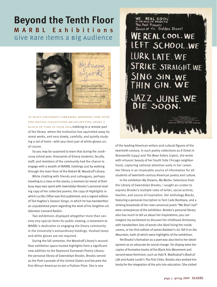# **Beyond the Tenth Floor** MARBL Exhibitions give rare items a big audience



**At many university libraries, spending time with the special collections means setting apart a block of time in your day,** trekking to a remote part of the library where the institution has squirreled away its rarest works, and very slowly, carefully, and quietly studying a set of texts—with your best pair of white gloves on, of course.

 So you may be surprised to learn that during the 2008– 2009 school year, thousands of Emory students, faculty, staff, and members of the community had the chance to engage with a wealth of MARBL holdings just by walking through the main floor of the Robert W. Woodruff Library.

 While chatting with friends and colleagues, perhaps traveling to a class or the stacks, a moment (or more) of their busy days was spent with Gwendolyn Brooks's personal reading copy of her collected poems; the copy of *Highlights* in which Lucille Clifton was first published; and a signed edition of Ted Hughes's *Season Songs*, in which he has handwritten an unpublished poem regarding the work of his longtime collaborator Leonard Baskin.

 Two exhibitions displayed altogether more than seventy very special items for public viewing, a testament to MARBL's dedication to engaging the Emory community in the University's extraordinary holdings. Hushed tones and white gloves are not required.

 During the fall semester, the Woodruff Library's secondfloor exhibition space hosted highlights from a significant new addition to the Raymond Danowski Poetry Library: the personal library of Gwendolyn Brooks. Brooks served as the Poet Laureate of the United States and became the first African American to win a Pulitzer Prize. She is one

 $c<sub>0</sub>$ WE REAL COOL<br>BYGWENDOLYN BROOKS<br>The Pool Players<br>Seven at the Golden Shovel

# **WE REAL COOL. WE** LEFT SCHOOL.WE LURK LATE. WE STRIKE STRAIGHT. WE SING SIN.WE THIN GIN. WE JAZZ JUNE. WE DIE SOON.

of the leading American writers and cultural figures of the twentieth century. In such poetry collections as *A Street in Bronzeville* (1945) and *The Bean Eaters* (1960), she wrote with virtuosic beauty of her South Side Chicago neighborhood, capturing national attention early in her career. Her library is an invaluable source of information for all students of twentieth-century American poetry and culture.

 In the exhibition My Dreams, My Works: Selections from the Library of Gwendolyn Brooks, I sought as curator to express Brooks's multiple roles of writer, social activist, teacher, and source of inspiration. Her anthology *Blacks*, featuring a personal inscription to Toni Cade Bambara, and a striking broadside of her now-canonical poem "We Real Cool" were centerpieces of the exhibition. Brooks's personal library also has much to tell us about her inspirations; you can imagine my excitement to discover her childhood dictionary, with handwritten lists of words she liked lining the inside covers, or her first edition of James Baldwin's *Go Tell It on the Mountain*, both of which were highlights of the exhibition.

 Yet Brooks's formation as a poet was also tied to her development as an advocate for social change. On display were her copies of formative books of the Black Arts Movement and second-wave feminism, such as Haki R. Madhubuti's *Book of Life* and Audre Lorde's *The First Cities*. Brooks also worked tirelessly for the integration of the arts into education. She visited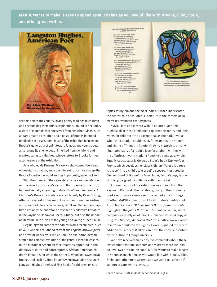**MARBL wants to make it easy to spend as much time as you would like with Brooks, Eliot, Stein, and other great writers.** 



THE HOODDWES-WITH THE DOUBLE-HEAD, or JUST SER

Here when have you board it said  $\label{eq:1} \begin{array}{ll} \text{Time if you had us over the end,}\\ \text{Year while he can be used over the}\\ \text{Here also have you placed over the}\\ \text{Again a triangle and used to get}\\ \end{array}$ 

diamen good at two et would never, never<br>epsy how one a fate!<br>en Hoodishoe" hims<br>en Fin men ton will heat, I'm one you will agree

dall we lest the Two heads were his used and<br> $\hfill$  . One at such and was seen, And like a long according,<br>  $\hfill$  like estand hody riggind on . In Such plants between

 $\label{eq:1} \begin{minipage}{0.9\textwidth} \begin{minipage}{0.9\textwidth} \begin{itemize} \end{itemize} \end{minipage} \begin{minipage}{0.9\textwidth} \begin{itemize} \end{itemize} \end{minipage} \begin{minipage}{0.9\textwidth} \begin{itemize} \end{itemize} \end{minipage} \begin{minipage}{0.9\textwidth} \begin{itemize} \end{itemize} \end{minipage} \begin{minipage}{0.9\textwidth} \begin{itemize} \end{itemize} \end{minipage} \begin{minipage}{0.9\textwidth} \begin{itemize} \end{itemize} \end{minipage} \$ this country shows

an the disagreement sums :<br>and in their chairs of any<br>what mans shall we link or



Bow shall we best downline this court<br>Two break were his most studing for

schools across the country, giving poetry readings to children and encouraging their artistic exploration. I found in her library a store of materials that she saved from her school visits, such as cards made by children and a poster of Brooks intended for display in a classroom. Much of the exhibition focused on Brooks's generosity of spirit toward famous and young poets alike, a quality she no doubt inherited from her friend and mentor, Langston Hughes, whose letters to Brooks formed a cornerstone of the exhibition.

 As a whole, My Dreams, My Works showcased the wealth of beauty, inspiration, and commitment to positive change that Brooks found in the world and, as importantly, gave back to it.

 With the change of the semesters came a new exhibition on the Woodruff Library's second floor, perhaps the most fun and visually engaging to date: Don't You Remember?: Children's Books by Poets. Curated largely by Kevin Young, Atticus Haygood Professor of English and Creative Writing and curator of literary collections, Don't You Remember? captured not only the enormous presence of children's literature in the Raymond Danowski Poetry Library, but also the impact of literature in the lives of the young and young-at-heart alike.

 Beginning with some of the earliest works for children, such as W. H. Auden's childhood copy of *The English Struwwelpeter*  and several works by Lewis Carroll, the exhibition demonstrated the complex evolution of the genre. Essential lessons in the history of American race relations appeared in the displays of early and contemporary African American children's literature, for which the Carter G. Woodson, Gwendolyn Brooks, and Lucille Clifton libraries were invaluable resources. Langston Hughes's series of First Books for children, on such

topics as rhythm and the West Indies, further underscored the central role of children's literature in the careers of so many key twentieth-century poets.

 Sylvia Plath and Richard Wilbur, Countee and Ted Hughes: all of these luminaries explored the genre, and their works for children are as exceptional as their adult verse. What child or adult could resist, for example, the humor and charm of Theodore Roethke's *Party at the Zoo*, a richly illustrated story of a robin's love for a rabbit, written with the effortless rhythm marking Roethke's verse as a whole. Equally spectacular is Gertrude Stein's book *The World Is Round*, which develops her classic dictum "A rose is a rose is a rose" into a child's tale of self-discovery. Illustrated by Clement Hurd of *Goodnight Moon* fame, Emory's copy is one of only 350 signed by both the author and artist.

 Although much of the exhibition was drawn from the Raymond Danowski Poetry Library, many of the children's books on display showcased the remarkable holdings of other MARBL collections. A first illustrated edition of T. S. Eliot's classic *Old Possum's Book of Practical Cats* highlighted the Julius M. Cruse T. S. Eliot collection, which comprises virtually all of Eliot's published works. A copy of *Langston Hughes, American Poet*, which Alice Walker wrote to introduce children to Hughes's work, signaled the recent addition to Emory of Walker's archive; the copy is inscribed by the author to Emory University.

 We have received many positive comments about these two exhibitions from students and visitors; more exhibits on level two are coming soon. MARBL wants to make it easy to spend as much time as you would like with Brooks, Eliot, Stein, and other great writers, and we won't tell anyone if you forget your white gloves.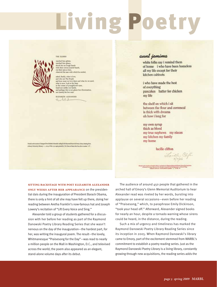# Living Poetry

### THE ELDERS



siched him glitter, watched him gleam,<br>shook his un-cough hands<br>with their comus-scarred h scarred ha nt their syes at him,<br>duerved the sase with which he smiled,

sked, finally, what is love, and who are The People<br>and have must we love them and what do we need,<br>what is now, look at the lines in the comer of younghlood's eyes.<br>lued not unlike our hands, and perhaps this is not glean but illumination,<br>not meetly his but ours.

BLIZABITH ALEXANDER Fortalist

hind or the source of Jungest For Elisabeli Abounder posity for the Departed Descends Posty. Coloury Booking Series at Enery University, Johnson c c , zones, Of the z prospect proved by C.M. Ones of Setter The Press, Air is and

# aunt jemima

white folks say i remind them of home i who have been homeless all my life except for their kitchen cabinets

i who have made the best of everything pancakes batter for chicken my life

the shelf on which i sit between the flour and cornmeal is thick with dreams oh how i long for

my own syrup thick as blood my true nephews my nieces my kitchen my family my home

lucille clifton

**Sitting backstage with poet Elizabeth Alexander only weeks after her appearance** on the presidential dais during the inauguration of President Barack Obama, there is only a hint of all she may have felt up there, doing her reading between Aretha Franklin's now-famous hat and Joseph Lowery's recitation of "Lift Every Voice and Sing."

 Alexander told a group of students gathered for a discussion with her before her reading as part of the Raymond Danowski Poetry Library Reading Series that she wasn't nervous on the day of the inauguration—the hardest part, for her, was writing the inaugural poem. The result—the lovely, Whitmanesque "Praisesong for the Day"—was read to nearly a million people on the Mall in Washington, D.C., and televised across the world; the poem also appeared as an elegant, stand-alone volume days after its debut.

 The audience of around 450 people that gathered in the arched hall of Emory's Glenn Memorial Auditorium to hear Alexander read was riveted by her words, bursting into applause on several occasions—even before her reading of "Praisesong," which, to paraphrase Emily Dickinson, "took your head off." Afterward, Alexander signed books for nearly an hour, despite a tornado warning whose sirens could be heard, in the distance, during the reading.

 Such a mix of urgency and timeliness has marked the Raymond Danowski Poetry Library Reading Series since its inception in 2005. When Raymond Danowski's library came to Emory, part of the excitement stemmed from MARBL's commitment to establish a poetry reading series. Just as the Raymond Danowski Poetry Library is a living library, constantly growing through new acquisitions, the reading series adds the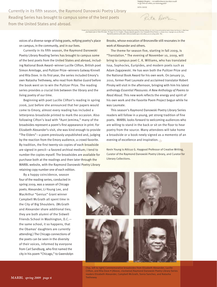we muddler th g et the gains . . . we could let them in ..be<br>with our orders, our stattering pridat **SITA DOVE** 

Peta Door

Currently in its fifth season, the Raymond Danowski Poetry Library Reading Series has brought to campus some of the best poets from the United States and abroad.

For Fayers you at Solar Way pope. The maps to be Cet Complete, The point or providing spaced to Cete. A Jacoba of Press Prestry, J. J.<br>- Spaced by present by presente of the order of the order of the conference in the adva

voices of a diverse range of living poets, reifying poetry's place on campus, in the community, and in our lives.

 Currently in its fifth season, the Raymond Danowski Poetry Library Reading Series has brought to campus some of the best poets from the United States and abroad, including National Book Award–winner Lucille Clifton, British poet Simon Armitage, and Pulitzer Prize–winners Galway Kinnell and Rita Dove. In its first year, the series included Emory's own Natasha Trethewey, who read from *Native Guard* before the book went on to win the Pulitzer Prize. The reading series provides a crucial link between the library and the living poetry of our time.

 Beginning with poet Lucille Clifton's reading in spring 2006, just before she announced that her papers would come to Emory, almost every reading has included a letterpress broadside printed to mark the occasion. Also following Cifton's lead with "Aunt Jemima," many of the broadsides represent a poem's first appearance in print. For Elizabeth Alexander's visit, she was kind enough to provide "The Elders"—a poem previously unpublished and, judging by the reaction from the Emory audience, a crowd favorite. By tradition, the first twenty-six copies of each broadside are signed in pencil—a favored archival medium; I tend to By tradition, the first twenty-six copies of each broadside<br>are signed in pencil—a favored archival mediu<mark>m; I tend to</mark><br>number the copies myself. The broadsides are available for purchase both at the readings and then later through the MARBL website, with the Raymond Danowski Poetry Library Poetry Lib rary retaining copy number one of each edition.

Brooks, whose evocation of Bronzeville still resonates in the work of Alexander and others.

 The theme for season five, starting in fall 2009, is "Translation." The evening of November 10, 2009, will bring to campus poet C. K. Williams, who has translated Issa, Sophocles, Euripides, and modern poets such as Adam Zagajewski. He has won both the Pulitzer Prize and the National Book Award for his own work. On January 31, 2010, former Poet Laureate and acclaimed translator Robert Pinsky will visit in the afternoon, bringing with him his latest anthology *Essential Pleasures: A New Anthology of Poems to Read Aloud*. This new work reflects the energy and spirit of his own work and the Favorite Poem Project begun while he was Laureate.

 This season's Raymond Danowski Poetry Library Series readers will follow in a young, yet strong tradition of fine poets. MARBL looks forward to welcoming audiences who are willing to stand in the back or sit on the floor to hear poetry from the source. Many attendees will take home a broadside or a book newly signed as a memento of an evening of excellence and inspiration.

Kevin Young is Atticus G. Haygood Professor of Creative Writing, Curator of the Raymond Danowski Poetry Library, and Curator for Literary Collections.

 By a happy coincidence, season four of the reading series, conducted in spring 2009, was a season of Chicago poets. Alexander, Li-Young Lee, and MacArthur "Genius" Grant winner Campbell McGrath all spent time in the City of Big Shoulders. (McGrath and Alexander share additional ties; they are both alumni of the Sidwell Friends School in Washington, D.C. the same school, it so happens, that the Obamas' daughters are currently attending.) The Chicago connections of the poets can be seen in the diversity of their voices, informed by everyone from Carl Sandburg, who first named the city in his poem "Chicago," to Gwendolyn



[Top, left to right] Commemorative broadsides from Elizabeth Alexander, Lucille Clifton, and Rita Dove • [Above, clockwise] Raymond Danowski Poetry Library Series readers Elizabeth Alexander, Campbell McGrath, Sonia Sanchez, and Natasha **Trethewey**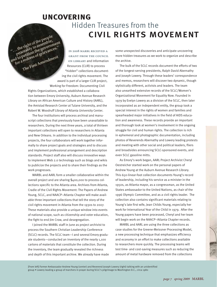# **uncovering** Hidden Treasures from the civil rights movement the right of the people<br>peaceably to assemble,<br>peaceably to assemble,<br>peacetition the governme

and to perfect of the people.<br>"... the right of the government"... peaceably to assemble, the right to assemble the peace of the peace of the peace of the peace of the peace of the peace of the peace of the peace of the peace of the peace of the peace of the peace of the peace of the peace of the peace of the p **In 2008 MARBL received a**  Petition of gries<br>a redress of griendment<br>The First Amendment **grant from the Council on Library** and Information Resources (CLIR) to process "hidden" collections document-" ing the civil rights movement. The ing award is part of a larger CLIR project, Working for Freedom: Documenting Civil

> Rights Organizations, which established a collaboration between Emory University, Auburn Avenue Research Library on African American Culture and History (AARL), the Amistad Research Center at Tulane University, and the Robert W. Woodruff Library of Atlanta University Center.

 The four institutions will process archival and manuscript collections that previously have been unavailable to researchers. During the next three years, a total of thirteen important collections will open to researchers in Atlanta and New Orleans. In addition to the individual processing projects, the four collaborators will work together informally to share project goals and strategies and to discuss and implement professional arrangement and description standards. Project staff also will discuss innovative ways to implement Web 2.0 technology such as blogs and wikis to publicize the projects and to share their findings as the work progresses.

 MARBL and AARL form a smaller collaborative within the overall project and are sharing \$400,000 to process collections specific to the Atlanta area. Archives from Atlanta, Cradle of the Civil Rights Movement: The Papers of Andrew Young, SCLC, and NAACP–Atlanta Chapter will make available three important collections that tell the story of the civil rights movement in Atlanta from the 1930s to 2007. These materials also provide a unique window into events of national scope, such as citizenship and voter education, the fight to end Jim Crow, and desegregation.

 I joined the MARBL staff in June as project archivist to process the Southern Christian Leadership Conference (SCLC) records. The SCLC team—I and several Emory graduate students—conducted an inventory of the nearly 1,100 cartons of materials that constitute the collection. During the inventory, the team gradually revealed the richness and depth of this important archive. We already have made

some unexpected discoveries and anticipate uncovering more hidden treasures as we work to organize and describe the archive.

 The bulk of the SCLC records document the efforts of two of the longest-serving presidents, Ralph David Abernathy and Joseph Lowery. Through these leaders' correspondence and memos, researchers will discover two dynamic, though stylistically different, activists and leaders. The team also unearthed extensive records of the SCLC/Women's Organizational Movement for Equality Now. Founded in 1979 by Evelyn Lowery as a division of the SCLC, then later incorporated as an independent entity, the group took a special interest in the rights of women and families and spearheaded major initiatives in the field of AIDS education and awareness. These records provide an important and thorough look at women's involvement in the ongoing struggle for civil and human rights. The collection is rich in ephemeral and photographic documentation, including photos of Reverends Abernathy and Lowery leading protests and meeting with other social and political leaders, fliers and broadsides announcing SCLC-sponsored events, and even SCLC gasoline mitts.

 As Emory's work began, AARL Project Archivist Cheryl Oestreicher started work on the personal papers of Andrew Young at the Auburn Avenue Research Library. This 650-linear-foot collection documents Young's record of leadership, including his service as a minister in the 1950s, as Atlanta mayor, as a congressman, as the United States ambassador to the United Nations, as chair of the 1996 Olympic Committee, and as a civil rights leader. The collection also contains significant materials relating to Young's late first wife, Jean Childs Young, especially her work for International Year of the Child in 1979. After the Young papers have been processed, Cheryl and her team will begin work on the NAACP–Atlanta Chapter records.

 MARBL and AARL are using the three collections as case studies for the Greene-Meissner Processing Model, a new processing technique that emphasizes efficiency and economy in an effort to make collections available to researchers more quickly. The processing teams will test time- and cost-saving measures such as reducing the amount of metal hardware removed from the collections

[From left] Former Ambassador Andrew Young (center) and Reverend Joseph Lowery (right) talking with an unidentified group • Lowery leading a group of marchers in prayer during SCLC's pilgrimage to Washington D.C., circa 1980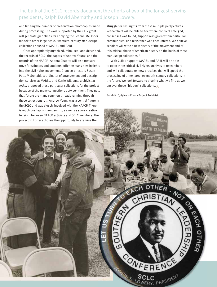# The bulk of the SCLC records document the efforts of two of the longest-serving presidents, Ralph David Abernathy and Joseph Lowery.

and limiting the number of preservation photocopies made during processing. The work supported by the CLIR grant will generate guidelines for applying the Greene-Meissner model to other large-scale, twentieth-century manuscript collections housed at MARBL and AARL.

 Once appropriately organized, rehoused, and described, the records of SCLC, the papers of Andrew Young, and the records of the NAACP–Atlanta Chapter will be a treasure trove for scholars and students, offering many new insights into the civil rights movement. Grant co-directors Susan Potts McDonald, coordinator of arrangement and description services at MARBL, and Kerrie Williams, archivist at AARL, proposed these particular collections for the project because of the many connections between them. They note that "there are many common threads running through these collections. . . . Andrew Young was a central figure in the SCLC and was closely involved with the NAACP. There is much overlap in membership, as well as some creative tension, between NAACP activists and SCLC members. The

struggle for civil rights from these multiple perspectives. Researchers will be able to see where conflicts emerged, consensus was found, support was given within particular communities, and resistance was encountered. We believe scholars will write a new history of the movement and of this critical phase of American history on the basis of these manuscript collections."

 With CLIR's support, MARBL and AARL will be able to open three critical civil rights archives to researchers and will collaborate on new practices that will speed the processing of other large, twentieth-century collections in the future. We look forward to sharing what we find as we uncover these "hidden" collections.

Sarah N. Quigley is Emory Project Archivist.

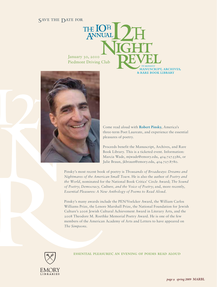# SAVE THE DATE FOR<br>
THE LOTE THE LOTE

January 30, 2010 Piedmont Driving Club



Come read aloud with **Robert Pinsky**, America's three-term Poet Laureate, and experience the essential pleasures of poetry.

MANUSCRIPT, ARCHIVES, & RARE BOOK LIBRARY

Proceeds benefit the Manuscript, Archives, and Rare Book Library. This is a ticketed event. Information: Marcia Wade, mjwade@emory.edu, 404.727.5386, or Julie Braun, jkbraun@emory.edu, 404.727.8780.

Pinsky's most recent book of poetry is *Thousands of Broadways: Dreams and Nightmares of the American Small Town*. He is also the author of *Poetry and the World*, nominated for the National Book Critics' Circle Award; *The Sound of Poetry*; *Democracy, Culture, and the Voice of Poetry*; and, more recently, *Essential Pleasures: A New Anthology of Poems to Read Aloud*.

Pinsky's many awards include the PEN/Voelcker Award, the William Carlos Williams Prize, the Lenore Marshall Prize, the National Foundation for Jewish Culture's 2006 Jewish Cultural Achievement Award in Literary Arts, and the 2008 Theodore M. Roethke Memorial Poetry Award. He is one of the few members of the American Academy of Arts and Letters to have appeared on *The Simpsons*.



essential pleasures: an evening of poems read aloud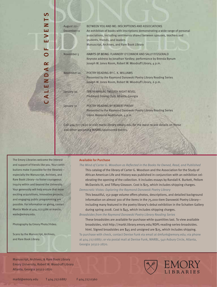| August 22-<br>December 11 | BETWEEN YOU AND ME: INSCRIPTIONS AND ASSOCIATIONS<br>An exhibition of books with inscriptions demonstrating a wide range of personal<br>associations, including sentiments shared between spouses, teachers and<br>students, friends, and leaders<br>Manuscript, Archives, and Rare Book Library |
|---------------------------|--------------------------------------------------------------------------------------------------------------------------------------------------------------------------------------------------------------------------------------------------------------------------------------------------|
| November <sub>5</sub>     | HABITS OF BEING: FLANNERY O'CONNOR AND SALLY FITZGERALD<br>Keynote address by Jonathan Yardley; performance by Brenda Bynum<br>Joseph W. Jones Room, Robert W. Woodruff Library, 4 p.m.                                                                                                          |
| November 10               | POFTRY READING BY C. K. WILLIAMS<br>Presented by the Raymond Danowski Poetry Library Reading Series<br>Joseph W. Jones Room, Robert W. Woodruff Library, 6 p.m.                                                                                                                                  |
| January 30                | TENTH ANNUAL TWELFTH NIGHT REVEL<br>Piedmont Driving Club, Atlanta, Georgia                                                                                                                                                                                                                      |
| January 31                | POFTRY READING BY ROBERT PINSKY<br>Presented by the Raymond Danowski Poetry Library Reading Series<br>Glenn Memorial Auditorium, 4 p.m.                                                                                                                                                          |
|                           | Call 404.727.7620 or visit marbl.library.emory.edu for the most recent details on these<br>and other upcoming MARBL-sponsored events.                                                                                                                                                            |

The Emory Libraries welcome the interest and support of friends like you. Your contributions make it possible for the libraries especially the Manuscript, Archives, and Rare Book Library—to foster courageous inquiry within and beyond the University. Your generosity will help ensure that more exciting acquisitions, innovative projects, and engaging public programming are possible. For information on giving, contact Marcia Wade at 404.727.5386 or marcia. wade@emory.edu.

CALENDAR OF EVENTS

œ  $\blacktriangleleft$  $\overline{\mathsf{d}}$ Z

**ALE** 

∩

<u>ທ</u>

Z ш  $\blacktriangleright$ ш

Photography by Emory Photo/Video.

Scans by the Manuscript, Archives, and Rare Book Library.

### Available for Purchase

*The Mind of Carter G. Woodson as Reflected in the Books He Owned, Read, and Published* This catalog of the library of Carter G. Woodson and the Association for the Study of African American Life and History was published in conjunction with an exhibition celebrating the opening of the collection. It includes essays by Randall K. Burkett, Pellom McDaniels III, and Tiffany Gleason. Cost is \$25, which includes shipping charges. *Democratic Vistas: Exploring the Raymond Danowski Poetry Library* 

 This beautiful, 152-page volume offers photos, descriptions, and detailed background information on almost 300 of the items in the 75,000-item Danowski Poetry Library including many featured in the poetry library's debut exhibition in the Schatten Gallery during spring 2008. Cost is \$45, which includes shipping charges.

*Broadsides from the Raymond Danowski Poetry Library Reading Series*

 These broadsides are available for purchase while quantities last. To view available broadsides, visit http://marbl.library.emory.edu/RDPL-reading-series-broadsides. html. Signed broadsides are \$45 and unsigned are \$25, which includes shipping.

To purchase with check, contact Denise Funk via email at dmfunk@emory.edu; via phone at 404.727.6887; or via postal mail at Denise Funk, MARBL, 540 Asbury Circle, Atlanta, Georgia 30322-2870.

EMORY

**IBRARIES** 

Manuscript, Archives, & Rare Book Library Emory University, Robert W. Woodruff Library Atlanta, Georgia 30322-2870